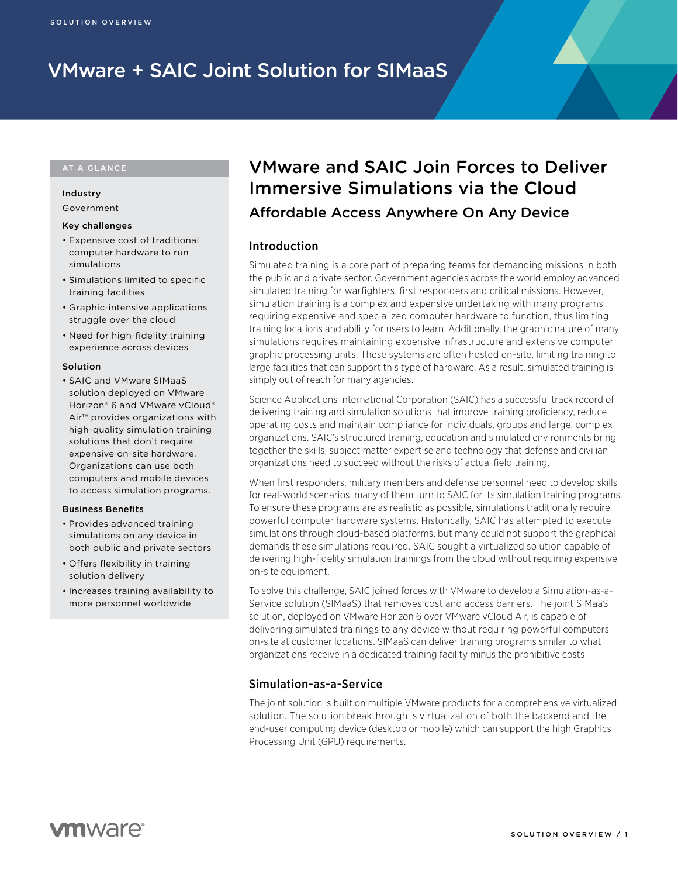# VMware + SAIC Joint Solution for SIMaaS

#### AT A GLANCE

### Industry Government

#### Key challenges

- Expensive cost of traditional computer hardware to run simulations
- Simulations limited to specific training facilities
- Graphic-intensive applications struggle over the cloud
- Need for high-fidelity training experience across devices

#### Solution

• SAIC and VMware SIMaaS solution deployed on VMware Horizon® 6 and VMware vCloud® Air™ provides organizations with high-quality simulation training solutions that don't require expensive on-site hardware. Organizations can use both computers and mobile devices to access simulation programs.

#### Business Benefits

- Provides advanced training simulations on any device in both public and private sectors
- Offers flexibility in training solution delivery
- Increases training availability to more personnel worldwide

# VMware and SAIC Join Forces to Deliver Immersive Simulations via the Cloud

Affordable Access Anywhere On Any Device

# Introduction

Simulated training is a core part of preparing teams for demanding missions in both the public and private sector. Government agencies across the world employ advanced simulated training for warfighters, first responders and critical missions. However, simulation training is a complex and expensive undertaking with many programs requiring expensive and specialized computer hardware to function, thus limiting training locations and ability for users to learn. Additionally, the graphic nature of many simulations requires maintaining expensive infrastructure and extensive computer graphic processing units. These systems are often hosted on-site, limiting training to large facilities that can support this type of hardware. As a result, simulated training is simply out of reach for many agencies.

Science Applications International Corporation (SAIC) has a successful track record of delivering training and simulation solutions that improve training proficiency, reduce operating costs and maintain compliance for individuals, groups and large, complex organizations. SAIC's structured training, education and simulated environments bring together the skills, subject matter expertise and technology that defense and civilian organizations need to succeed without the risks of actual field training.

When first responders, military members and defense personnel need to develop skills for real-world scenarios, many of them turn to SAIC for its simulation training programs. To ensure these programs are as realistic as possible, simulations traditionally require powerful computer hardware systems. Historically, SAIC has attempted to execute simulations through cloud-based platforms, but many could not support the graphical demands these simulations required. SAIC sought a virtualized solution capable of delivering high-fidelity simulation trainings from the cloud without requiring expensive on-site equipment.

To solve this challenge, SAIC joined forces with VMware to develop a Simulation-as-a-Service solution (SIMaaS) that removes cost and access barriers. The joint SIMaaS solution, deployed on VMware Horizon 6 over VMware vCloud Air, is capable of delivering simulated trainings to any device without requiring powerful computers on-site at customer locations. SIMaaS can deliver training programs similar to what organizations receive in a dedicated training facility minus the prohibitive costs.

# Simulation-as-a-Service

The joint solution is built on multiple VMware products for a comprehensive virtualized solution. The solution breakthrough is virtualization of both the backend and the end-user computing device (desktop or mobile) which can support the high Graphics Processing Unit (GPU) requirements.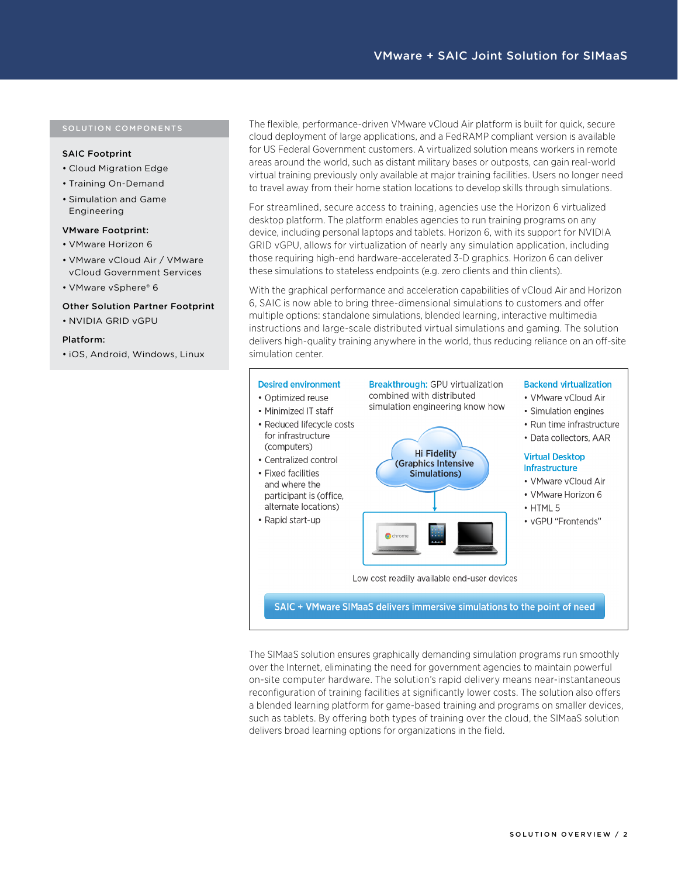#### SAIC Footprint

- Cloud Migration Edge
- Training On-Demand
- Simulation and Game Engineering

#### VMware Footprint:

- VMware Horizon 6
- VMware vCloud Air / VMware vCloud Government Services
- VMware vSphere® 6

#### Other Solution Partner Footprint

• NVIDIA GRID vGPU

#### Platform:

• iOS, Android, Windows, Linux

The flexible, performance-driven VMware vCloud Air platform is built for quick, secure cloud deployment of large applications, and a FedRAMP compliant version is available for US Federal Government customers. A virtualized solution means workers in remote areas around the world, such as distant military bases or outposts, can gain real-world virtual training previously only available at major training facilities. Users no longer need to travel away from their home station locations to develop skills through simulations.

For streamlined, secure access to training, agencies use the Horizon 6 virtualized desktop platform. The platform enables agencies to run training programs on any device, including personal laptops and tablets. Horizon 6, with its support for NVIDIA GRID vGPU, allows for virtualization of nearly any simulation application, including those requiring high-end hardware-accelerated 3-D graphics. Horizon 6 can deliver these simulations to stateless endpoints (e.g. zero clients and thin clients).

With the graphical performance and acceleration capabilities of vCloud Air and Horizon 6, SAIC is now able to bring three-dimensional simulations to customers and offer multiple options: standalone simulations, blended learning, interactive multimedia instructions and large-scale distributed virtual simulations and gaming. The solution delivers high-quality training anywhere in the world, thus reducing reliance on an off-site simulation center.



The SIMaaS solution ensures graphically demanding simulation programs run smoothly over the Internet, eliminating the need for government agencies to maintain powerful on-site computer hardware. The solution's rapid delivery means near-instantaneous reconfiguration of training facilities at significantly lower costs. The solution also offers a blended learning platform for game-based training and programs on smaller devices, such as tablets. By offering both types of training over the cloud, the SIMaaS solution delivers broad learning options for organizations in the field.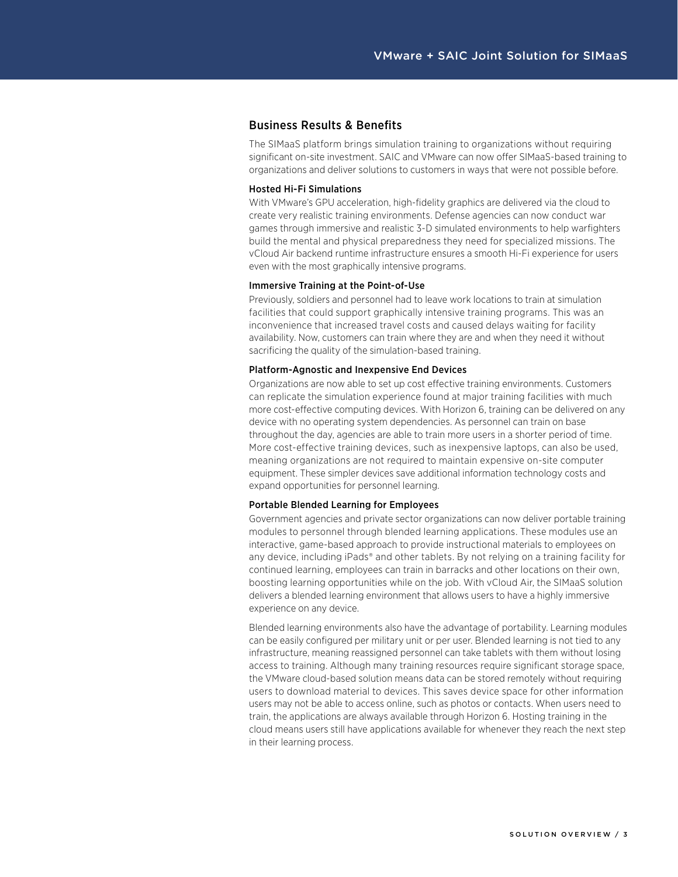# Business Results & Benefits

The SIMaaS platform brings simulation training to organizations without requiring significant on-site investment. SAIC and VMware can now offer SIMaaS-based training to organizations and deliver solutions to customers in ways that were not possible before.

#### Hosted Hi-Fi Simulations

With VMware's GPU acceleration, high-fidelity graphics are delivered via the cloud to create very realistic training environments. Defense agencies can now conduct war games through immersive and realistic 3-D simulated environments to help warfighters build the mental and physical preparedness they need for specialized missions. The vCloud Air backend runtime infrastructure ensures a smooth Hi-Fi experience for users even with the most graphically intensive programs.

#### Immersive Training at the Point-of-Use

Previously, soldiers and personnel had to leave work locations to train at simulation facilities that could support graphically intensive training programs. This was an inconvenience that increased travel costs and caused delays waiting for facility availability. Now, customers can train where they are and when they need it without sacrificing the quality of the simulation-based training.

#### Platform-Agnostic and Inexpensive End Devices

Organizations are now able to set up cost effective training environments. Customers can replicate the simulation experience found at major training facilities with much more cost-effective computing devices. With Horizon 6, training can be delivered on any device with no operating system dependencies. As personnel can train on base throughout the day, agencies are able to train more users in a shorter period of time. More cost-effective training devices, such as inexpensive laptops, can also be used, meaning organizations are not required to maintain expensive on-site computer equipment. These simpler devices save additional information technology costs and expand opportunities for personnel learning.

#### Portable Blended Learning for Employees

Government agencies and private sector organizations can now deliver portable training modules to personnel through blended learning applications. These modules use an interactive, game-based approach to provide instructional materials to employees on any device, including iPads® and other tablets. By not relying on a training facility for continued learning, employees can train in barracks and other locations on their own, boosting learning opportunities while on the job. With vCloud Air, the SIMaaS solution delivers a blended learning environment that allows users to have a highly immersive experience on any device.

Blended learning environments also have the advantage of portability. Learning modules can be easily configured per military unit or per user. Blended learning is not tied to any infrastructure, meaning reassigned personnel can take tablets with them without losing access to training. Although many training resources require significant storage space, the VMware cloud-based solution means data can be stored remotely without requiring users to download material to devices. This saves device space for other information users may not be able to access online, such as photos or contacts. When users need to train, the applications are always available through Horizon 6. Hosting training in the cloud means users still have applications available for whenever they reach the next step in their learning process.